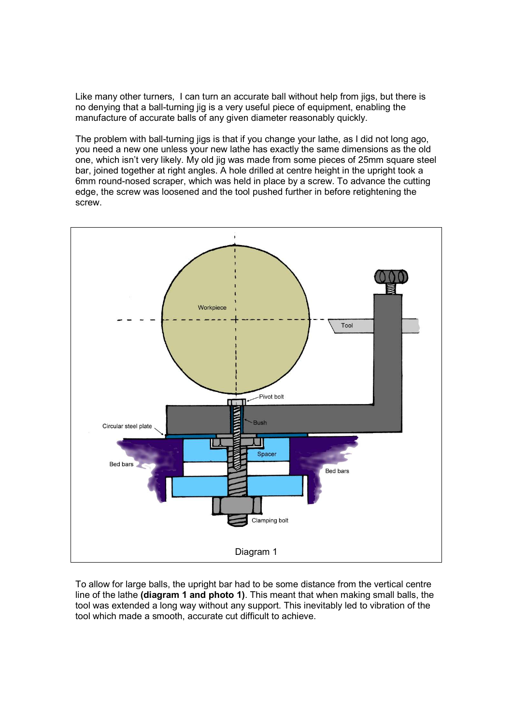Like many other turners, I can turn an accurate ball without help from jigs, but there is no denying that a ball-turning jig is a very useful piece of equipment, enabling the manufacture of accurate balls of any given diameter reasonably quickly.

The problem with ball-turning jigs is that if you change your lathe, as I did not long ago, you need a new one unless your new lathe has exactly the same dimensions as the old one, which isn't very likely. My old jig was made from some pieces of 25mm square steel bar, joined together at right angles. A hole drilled at centre height in the upright took a 6mm round-nosed scraper, which was held in place by a screw. To advance the cutting edge, the screw was loosened and the tool pushed further in before retightening the screw.



To allow for large balls, the upright bar had to be some distance from the vertical centre line of the lathe (diagram 1 and photo 1). This meant that when making small balls, the tool was extended a long way without any support. This inevitably led to vibration of the tool which made a smooth, accurate cut difficult to achieve.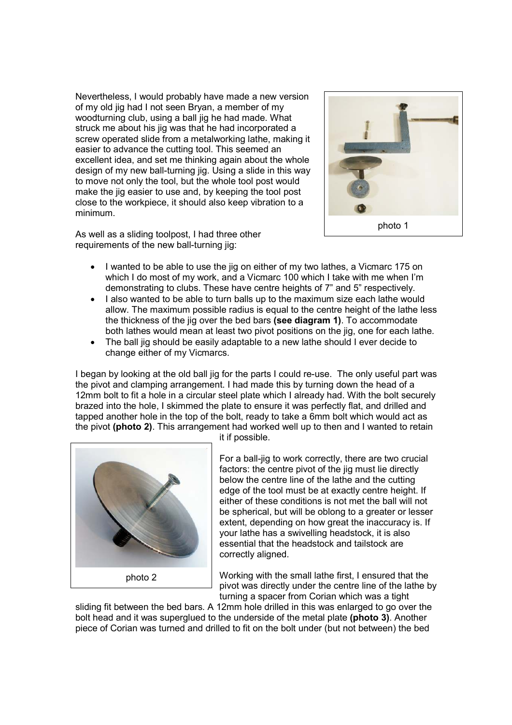Nevertheless, I would probably have made a new version of my old jig had I not seen Bryan, a member of my woodturning club, using a ball jig he had made. What struck me about his jig was that he had incorporated a screw operated slide from a metalworking lathe, making it easier to advance the cutting tool. This seemed an excellent idea, and set me thinking again about the whole design of my new ball-turning jig. Using a slide in this way to move not only the tool, but the whole tool post would make the jig easier to use and, by keeping the tool post close to the workpiece, it should also keep vibration to a minimum.

As well as a sliding toolpost, I had three other requirements of the new ball-turning jig:



- I wanted to be able to use the jig on either of my two lathes, a Vicmarc 175 on which I do most of my work, and a Vicmarc 100 which I take with me when I'm demonstrating to clubs. These have centre heights of 7" and 5" respectively.
- I also wanted to be able to turn balls up to the maximum size each lathe would allow. The maximum possible radius is equal to the centre height of the lathe less the thickness of the jig over the bed bars (see diagram 1). To accommodate both lathes would mean at least two pivot positions on the jig, one for each lathe.
- The ball jig should be easily adaptable to a new lathe should I ever decide to change either of my Vicmarcs.

I began by looking at the old ball jig for the parts I could re-use. The only useful part was the pivot and clamping arrangement. I had made this by turning down the head of a 12mm bolt to fit a hole in a circular steel plate which I already had. With the bolt securely brazed into the hole, I skimmed the plate to ensure it was perfectly flat, and drilled and tapped another hole in the top of the bolt, ready to take a 6mm bolt which would act as the pivot (photo 2). This arrangement had worked well up to then and I wanted to retain



it if possible.

For a ball-jig to work correctly, there are two crucial factors: the centre pivot of the jig must lie directly below the centre line of the lathe and the cutting edge of the tool must be at exactly centre height. If either of these conditions is not met the ball will not be spherical, but will be oblong to a greater or lesser extent, depending on how great the inaccuracy is. If your lathe has a swivelling headstock, it is also essential that the headstock and tailstock are correctly aligned.

Working with the small lathe first, I ensured that the pivot was directly under the centre line of the lathe by turning a spacer from Corian which was a tight

sliding fit between the bed bars. A 12mm hole drilled in this was enlarged to go over the bolt head and it was superglued to the underside of the metal plate (photo 3). Another piece of Corian was turned and drilled to fit on the bolt under (but not between) the bed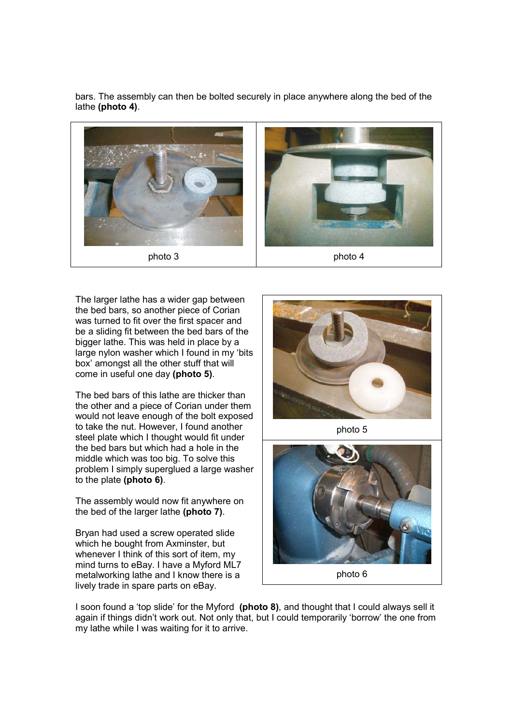bars. The assembly can then be bolted securely in place anywhere along the bed of the lathe (photo 4).



The larger lathe has a wider gap between the bed bars, so another piece of Corian was turned to fit over the first spacer and be a sliding fit between the bed bars of the bigger lathe. This was held in place by a large nylon washer which I found in my 'bits box' amongst all the other stuff that will come in useful one day (photo 5).

The bed bars of this lathe are thicker than the other and a piece of Corian under them would not leave enough of the bolt exposed to take the nut. However, I found another steel plate which I thought would fit under the bed bars but which had a hole in the middle which was too big. To solve this problem I simply superglued a large washer to the plate (photo 6).

The assembly would now fit anywhere on the bed of the larger lathe (photo 7).

Bryan had used a screw operated slide which he bought from Axminster, but whenever I think of this sort of item, my mind turns to eBay. I have a Myford ML7 metalworking lathe and I know there is a lively trade in spare parts on eBay.



photo 5



photo 6

I soon found a 'top slide' for the Myford (photo 8), and thought that I could always sell it again if things didn't work out. Not only that, but I could temporarily 'borrow' the one from my lathe while I was waiting for it to arrive.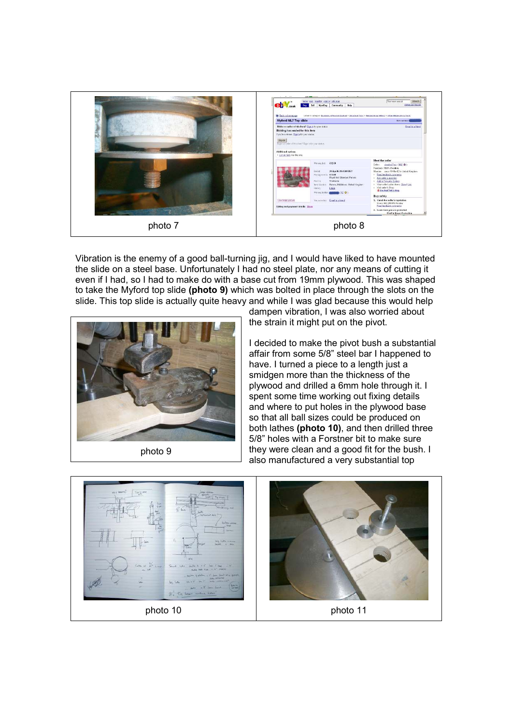

Vibration is the enemy of a good ball-turning jig, and I would have liked to have mounted the slide on a steel base. Unfortunately I had no steel plate, nor any means of cutting it even if I had, so I had to make do with a base cut from 19mm plywood. This was shaped to take the Myford top slide (photo 9) which was bolted in place through the slots on the slide. This top slide is actually quite heavy and while I was glad because this would help



photo 9

dampen vibration, I was also worried about the strain it might put on the pivot.

I decided to make the pivot bush a substantial affair from some 5/8" steel bar I happened to have. I turned a piece to a length just a smidgen more than the thickness of the plywood and drilled a 6mm hole through it. I spent some time working out fixing details and where to put holes in the plywood base so that all ball sizes could be produced on both lathes (photo 10), and then drilled three 5/8" holes with a Forstner bit to make sure they were clean and a good fit for the bush. I also manufactured a very substantial top

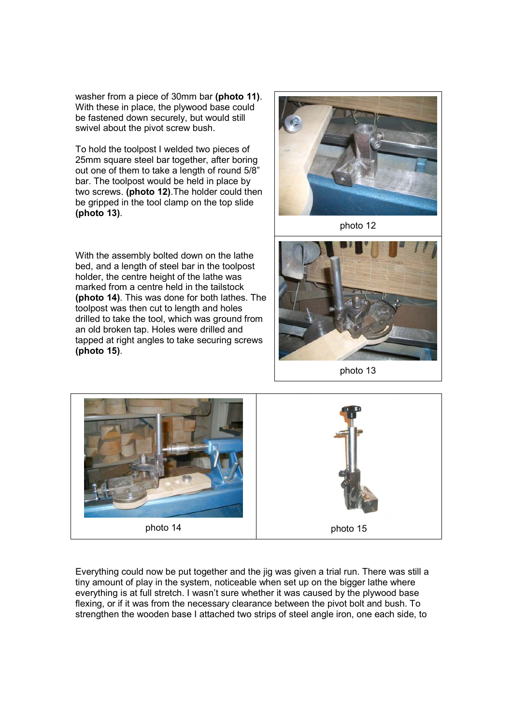washer from a piece of 30mm bar (photo 11). With these in place, the plywood base could be fastened down securely, but would still swivel about the pivot screw bush.

To hold the toolpost I welded two pieces of 25mm square steel bar together, after boring out one of them to take a length of round 5/8" bar. The toolpost would be held in place by two screws. (photo 12).The holder could then be gripped in the tool clamp on the top slide (photo 13).

With the assembly bolted down on the lathe bed, and a length of steel bar in the toolpost holder, the centre height of the lathe was marked from a centre held in the tailstock (photo 14). This was done for both lathes. The toolpost was then cut to length and holes drilled to take the tool, which was ground from an old broken tap. Holes were drilled and tapped at right angles to take securing screws (photo 15).



photo 12



photo 13



Everything could now be put together and the jig was given a trial run. There was still a tiny amount of play in the system, noticeable when set up on the bigger lathe where everything is at full stretch. I wasn't sure whether it was caused by the plywood base flexing, or if it was from the necessary clearance between the pivot bolt and bush. To strengthen the wooden base I attached two strips of steel angle iron, one each side, to